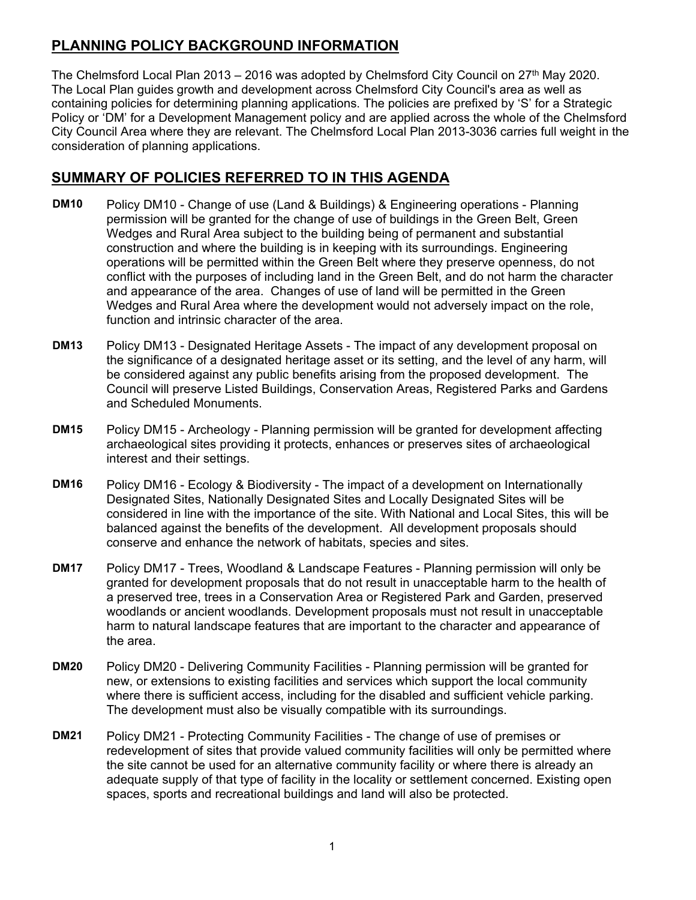## **PLANNING POLICY BACKGROUND INFORMATION**

The Chelmsford Local Plan 2013 – 2016 was adopted by Chelmsford City Council on 27<sup>th</sup> May 2020. The Local Plan guides growth and development across Chelmsford City Council's area as well as containing policies for determining planning applications. The policies are prefixed by 'S' for a Strategic Policy or 'DM' for a Development Management policy and are applied across the whole of the Chelmsford City Council Area where they are relevant. The Chelmsford Local Plan 2013-3036 carries full weight in the consideration of planning applications.

## **SUMMARY OF POLICIES REFERRED TO IN THIS AGENDA**

- Policy DM10 Change of use (Land & Buildings) & Engineering operations Planning permission will be granted for the change of use of buildings in the Green Belt, Green Wedges and Rural Area subject to the building being of permanent and substantial construction and where the building is in keeping with its surroundings. Engineering operations will be permitted within the Green Belt where they preserve openness, do not conflict with the purposes of including land in the Green Belt, and do not harm the character and appearance of the area. Changes of use of land will be permitted in the Green Wedges and Rural Area where the development would not adversely impact on the role, function and intrinsic character of the area. **DM10**
- Policy DM13 Designated Heritage Assets The impact of any development proposal on the significance of a designated heritage asset or its setting, and the level of any harm, will be considered against any public benefits arising from the proposed development. The Council will preserve Listed Buildings, Conservation Areas, Registered Parks and Gardens and Scheduled Monuments. **DM13**
- Policy DM15 Archeology Planning permission will be granted for development affecting archaeological sites providing it protects, enhances or preserves sites of archaeological interest and their settings. **DM15**
- Policy DM16 Ecology & Biodiversity The impact of a development on Internationally Designated Sites, Nationally Designated Sites and Locally Designated Sites will be considered in line with the importance of the site. With National and Local Sites, this will be balanced against the benefits of the development. All development proposals should conserve and enhance the network of habitats, species and sites. **DM16**
- Policy DM17 Trees, Woodland & Landscape Features Planning permission will only be granted for development proposals that do not result in unacceptable harm to the health of a preserved tree, trees in a Conservation Area or Registered Park and Garden, preserved woodlands or ancient woodlands. Development proposals must not result in unacceptable harm to natural landscape features that are important to the character and appearance of the area. **DM17**
- Policy DM20 Delivering Community Facilities Planning permission will be granted for new, or extensions to existing facilities and services which support the local community where there is sufficient access, including for the disabled and sufficient vehicle parking. The development must also be visually compatible with its surroundings. **DM20**
- Policy DM21 Protecting Community Facilities The change of use of premises or redevelopment of sites that provide valued community facilities will only be permitted where the site cannot be used for an alternative community facility or where there is already an adequate supply of that type of facility in the locality or settlement concerned. Existing open spaces, sports and recreational buildings and land will also be protected. **DM21**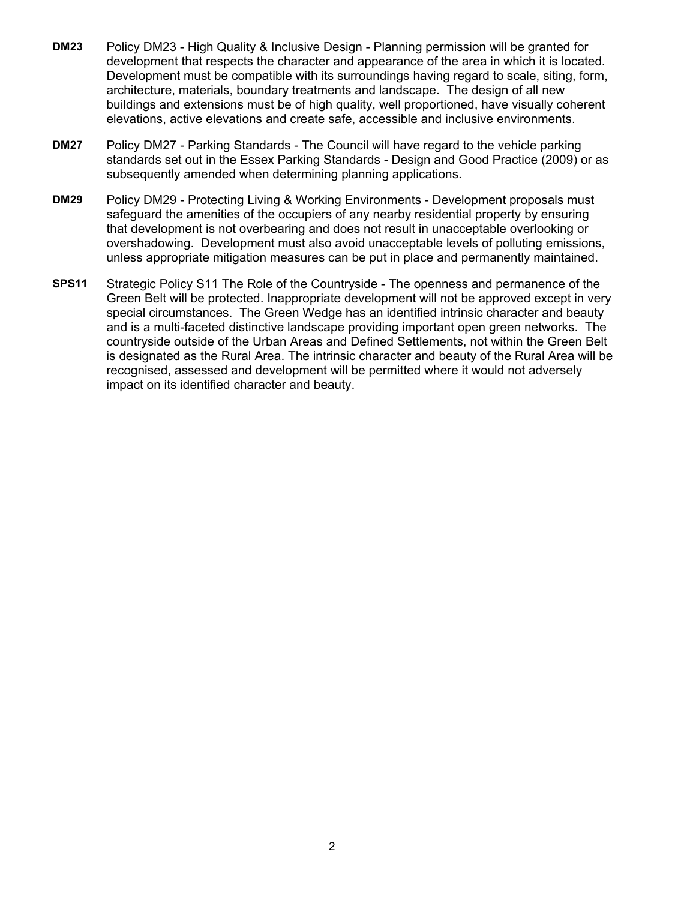- Policy DM23 High Quality & Inclusive Design Planning permission will be granted for development that respects the character and appearance of the area in which it is located. Development must be compatible with its surroundings having regard to scale, siting, form, architecture, materials, boundary treatments and landscape. The design of all new buildings and extensions must be of high quality, well proportioned, have visually coherent elevations, active elevations and create safe, accessible and inclusive environments. **DM23**
- Policy DM27 Parking Standards The Council will have regard to the vehicle parking standards set out in the Essex Parking Standards - Design and Good Practice (2009) or as subsequently amended when determining planning applications. **DM27**
- Policy DM29 Protecting Living & Working Environments Development proposals must safeguard the amenities of the occupiers of any nearby residential property by ensuring that development is not overbearing and does not result in unacceptable overlooking or overshadowing. Development must also avoid unacceptable levels of polluting emissions, unless appropriate mitigation measures can be put in place and permanently maintained. **DM29**
- Strategic Policy S11 The Role of the Countryside The openness and permanence of the Green Belt will be protected. Inappropriate development will not be approved except in very special circumstances. The Green Wedge has an identified intrinsic character and beauty and is a multi-faceted distinctive landscape providing important open green networks. The countryside outside of the Urban Areas and Defined Settlements, not within the Green Belt is designated as the Rural Area. The intrinsic character and beauty of the Rural Area will be recognised, assessed and development will be permitted where it would not adversely impact on its identified character and beauty. **SPS11**